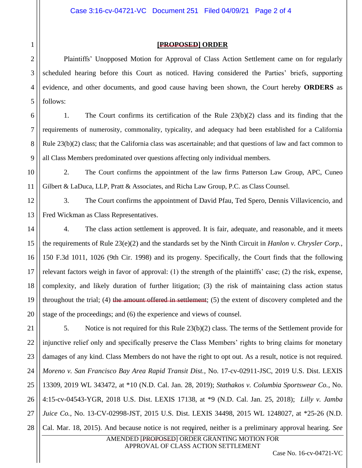## **[PROPOSED] ORDER**

Plaintiffs' Unopposed Motion for Approval of Class Action Settlement came on for regularly scheduled hearing before this Court as noticed. Having considered the Parties' briefs, supporting evidence, and other documents, and good cause having been shown, the Court hereby **ORDERS** as follows:

1. The Court confirms its certification of the Rule 23(b)(2) class and its finding that the requirements of numerosity, commonality, typicality, and adequacy had been established for a California Rule 23(b)(2) class; that the California class was ascertainable; and that questions of law and fact common to all Class Members predominated over questions affecting only individual members.

2. The Court confirms the appointment of the law firms Patterson Law Group, APC, Cuneo Gilbert & LaDuca, LLP, Pratt & Associates, and Richa Law Group, P.C. as Class Counsel.

3. The Court confirms the appointment of David Pfau, Ted Spero, Dennis Villavicencio, and Fred Wickman as Class Representatives.

4. The class action settlement is approved. It is fair, adequate, and reasonable, and it meets the requirements of Rule 23(e)(2) and the standards set by the Ninth Circuit in *Hanlon v. Chrysler Corp.*, 150 F.3d 1011, 1026 (9th Cir. 1998) and its progeny. Specifically, the Court finds that the following relevant factors weigh in favor of approval: (1) the strength of the plaintiffs' case; (2) the risk, expense, complexity, and likely duration of further litigation; (3) the risk of maintaining class action status throughout the trial; (4) the amount offered in settlement; (5) the extent of discovery completed and the stage of the proceedings; and (6) the experience and views of counsel.

21 22 23 24 25 26 27 28 <sup>1</sup> Cal. Mar. 18, 2015). And because notice is not required, neither is a preliminary approval hearing. *See*  5. Notice is not required for this Rule 23(b)(2) class. The terms of the Settlement provide for injunctive relief only and specifically preserve the Class Members' rights to bring claims for monetary damages of any kind. Class Members do not have the right to opt out. As a result, notice is not required. *Moreno v. San Francisco Bay Area Rapid Transit Dist.*, No. 17-cv-02911-JSC, 2019 U.S. Dist. LEXIS 13309, 2019 WL 343472, at \*10 (N.D. Cal. Jan. 28, 2019); *Stathakos v. Columbia Sportswear Co.*, No. 4:15-cv-04543-YGR, 2018 U.S. Dist. LEXIS 17138, at \*9 (N.D. Cal. Jan. 25, 2018); *Lilly v. Jamba Juice Co.*, No. 13-CV-02998-JST, 2015 U.S. Dist. LEXIS 34498, 2015 WL 1248027, at \*25-26 (N.D.

> AMENDED [PROPOSED] ORDER GRANTING MOTION FOR APPROVAL OF CLASS ACTION SETTLEMENT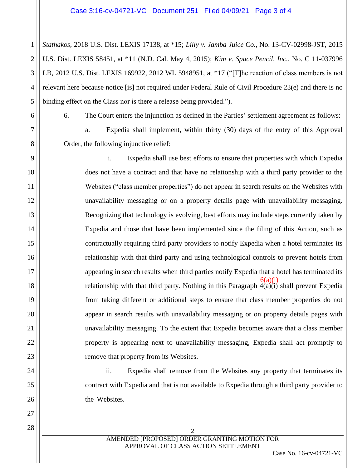1 2 3 4 5 *Stathakos*, 2018 U.S. Dist. LEXIS 17138, at \*15; *Lilly v. Jamba Juice Co.*, No. 13-CV-02998-JST, 2015 U.S. Dist. LEXIS 58451, at \*11 (N.D. Cal. May 4, 2015); *Kim v. Space Pencil, Inc.*, No. C 11-037996 LB, 2012 U.S. Dist. LEXIS 169922, 2012 WL 5948951, at \*17 ("[T]he reaction of class members is not relevant here because notice [is] not required under Federal Rule of Civil Procedure 23(e) and there is no binding effect on the Class nor is there a release being provided.").

6

7

8

9

10

11

12

13

14

15

16

17

18

19

20

21

22

23

24

25

26

27

6. The Court enters the injunction as defined in the Parties' settlement agreement as follows:

a. Expedia shall implement, within thirty (30) days of the entry of this Approval Order, the following injunctive relief:

i. Expedia shall use best efforts to ensure that properties with which Expedia does not have a contract and that have no relationship with a third party provider to the Websites ("class member properties") do not appear in search results on the Websites with unavailability messaging or on a property details page with unavailability messaging. Recognizing that technology is evolving, best efforts may include steps currently taken by Expedia and those that have been implemented since the filing of this Action, such as contractually requiring third party providers to notify Expedia when a hotel terminates its relationship with that third party and using technological controls to prevent hotels from appearing in search results when third parties notify Expedia that a hotel has terminated its relationship with that third party. Nothing in this Paragraph  $\hat{A}(a)(i)$  shall prevent Expedia from taking different or additional steps to ensure that class member properties do not appear in search results with unavailability messaging or on property details pages with unavailability messaging. To the extent that Expedia becomes aware that a class member property is appearing next to unavailability messaging, Expedia shall act promptly to remove that property from its Websites.  $6(a)(i)$ 

ii. Expedia shall remove from the Websites any property that terminates its contract with Expedia and that is not available to Expedia through a third party provider to the Websites.